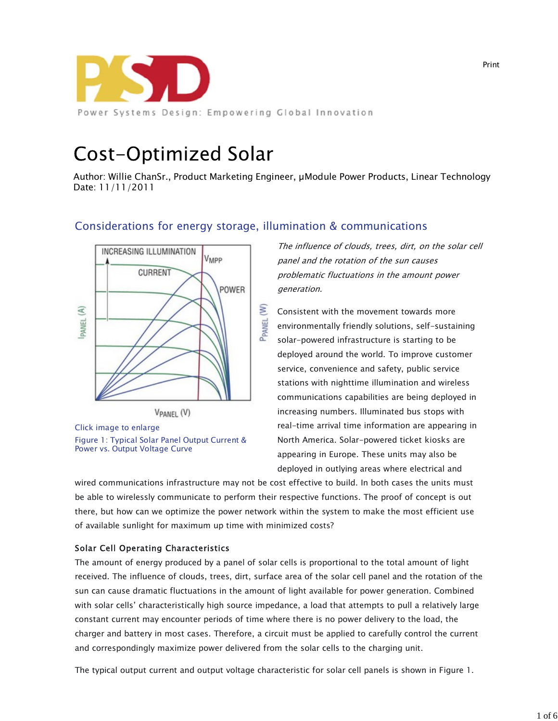

# **Cost-Optimized Solar**

Author: Willie ChanSr., Product Marketing Engineer, µModule Power Products, Linear Technology Date: 11/11/2011

# Considerations for energy storage, illumination & communications



Click image to enlarge Figure 1: Typical Solar Panel Output Current & Power vs. Output Voltage Curve

The influence of clouds, trees, dirt, on the solar cell panel and the rotation of the sun causes problematic fluctuations in the amount power generation.

Consistent with the movement towards more environmentally friendly solutions, self-sustaining solar-powered infrastructure is starting to be deployed around the world. To improve customer service, convenience and safety, public service stations with nighttime illumination and wireless communications capabilities are being deployed in increasing numbers. Illuminated bus stops with real-time arrival time information are appearing in North America. Solar-powered ticket kiosks are appearing in Europe. These units may also be deployed in outlying areas where electrical and

wired communications infrastructure may not be cost effective to build. In both cases the units must be able to wirelessly communicate to perform their respective functions. The proof of concept is out there, but how can we optimize the power network within the system to make the most efficient use of available sunlight for maximum up time with minimized costs?

# Solar Cell Operating Characteristics

The amount of energy produced by a panel of solar cells is proportional to the total amount of light received. The influence of clouds, trees, dirt, surface area of the solar cell panel and the rotation of the sun can cause dramatic fluctuations in the amount of light available for power generation. Combined with solar cells' characteristically high source impedance, a load that attempts to pull a relatively large constant current may encounter periods of time where there is no power delivery to the load, the charger and battery in most cases. Therefore, a circuit must be applied to carefully control the current and correspondingly maximize power delivered from the solar cells to the charging unit.

The typical output current and output voltage characteristic for solar cell panels is shown in Figure 1.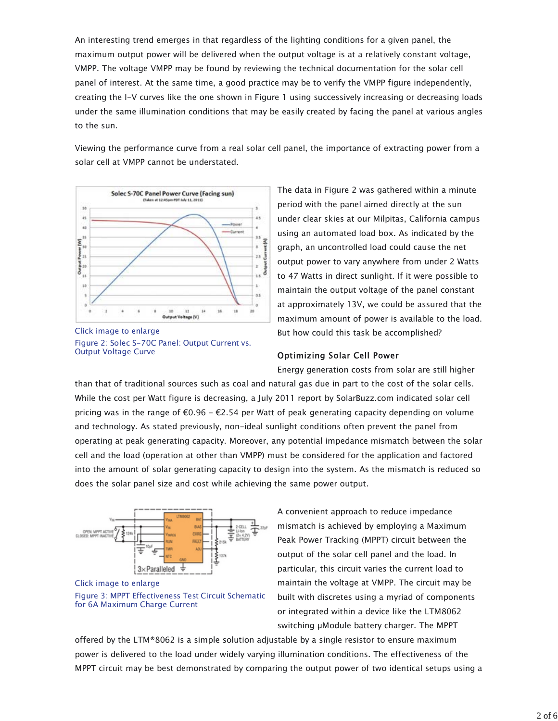An interesting trend emerges in that regardless of the lighting conditions for a given panel, the maximum output power will be delivered when the output voltage is at a relatively constant voltage, VMPP. The voltage VMPP may be found by reviewing the technical documentation for the solar cell panel of interest. At the same time, a good practice may be to verify the VMPP figure independently, creating the I-V curves like the one shown in Figure 1 using successively increasing or decreasing loads under the same illumination conditions that may be easily created by facing the panel at various angles to the sun.

Viewing the performance curve from a real solar cell panel, the importance of extracting power from a solar cell at VMPP cannot be understated.



Click image to enlarge Figure 2: Solec S-70C Panel: Output Current vs. Output Voltage Curve

The data in Figure 2 was gathered within a minute period with the panel aimed directly at the sun under clear skies at our Milpitas, California campus using an automated load box. As indicated by the graph, an uncontrolled load could cause the net output power to vary anywhere from under 2 Watts to 47 Watts in direct sunlight. If it were possible to maintain the output voltage of the panel constant at approximately 13V, we could be assured that the maximum amount of power is available to the load. But how could this task be accomplished?

#### Optimizing Solar Cell Power

Energy generation costs from solar are still higher

than that of traditional sources such as coal and natural gas due in part to the cost of the solar cells. While the cost per Watt figure is decreasing, a July 2011 report by SolarBuzz.com indicated solar cell pricing was in the range of  $\epsilon 0.96$  -  $\epsilon$ 2.54 per Watt of peak generating capacity depending on volume and technology. As stated previously, non-ideal sunlight conditions often prevent the panel from operating at peak generating capacity. Moreover, any potential impedance mismatch between the solar cell and the load (operation at other than VMPP) must be considered for the application and factored into the amount of solar generating capacity to design into the system. As the mismatch is reduced so does the solar panel size and cost while achieving the same power output.



Click image to enlarge Figure 3: MPPT Effectiveness Test Circuit Schematic for 6A Maximum Charge Current

A convenient approach to reduce impedance mismatch is achieved by employing a Maximum Peak Power Tracking (MPPT) circuit between the output of the solar cell panel and the load. In particular, this circuit varies the current load to maintain the voltage at VMPP. The circuit may be built with discretes using a myriad of components or integrated within a device like the LTM8062 switching µModule battery charger. The MPPT

offered by the LTM®8062 is a simple solution adjustable by a single resistor to ensure maximum power is delivered to the load under widely varying illumination conditions. The effectiveness of the MPPT circuit may be best demonstrated by comparing the output power of two identical setups using a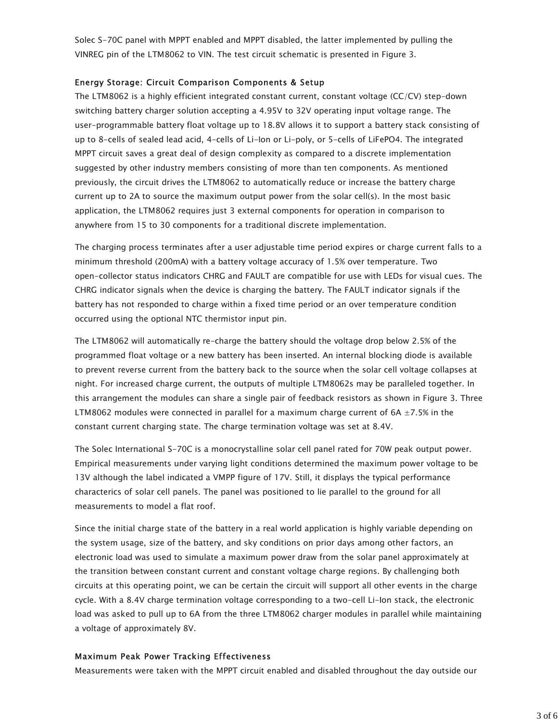Solec S-70C panel with MPPT enabled and MPPT disabled, the latter implemented by pulling the VINREG pin of the LTM8062 to VIN. The test circuit schematic is presented in Figure 3.

#### Energy Storage: Circuit Comparison Components & Setup

The LTM8062 is a highly efficient integrated constant current, constant voltage (CC/CV) step-down switching battery charger solution accepting a 4.95V to 32V operating input voltage range. The user-programmable battery float voltage up to 18.8V allows it to support a battery stack consisting of up to 8-cells of sealed lead acid, 4-cells of Li-Ion or Li-poly, or 5-cells of LiFePO4. The integrated MPPT circuit saves a great deal of design complexity as compared to a discrete implementation suggested by other industry members consisting of more than ten components. As mentioned previously, the circuit drives the LTM8062 to automatically reduce or increase the battery charge current up to 2A to source the maximum output power from the solar cell(s). In the most basic application, the LTM8062 requires just 3 external components for operation in comparison to anywhere from 15 to 30 components for a traditional discrete implementation.

The charging process terminates after a user adjustable time period expires or charge current falls to a minimum threshold (200mA) with a battery voltage accuracy of 1.5% over temperature. Two open-collector status indicators CHRG and FAULT are compatible for use with LEDs for visual cues. The CHRG indicator signals when the device is charging the battery. The FAULT indicator signals if the battery has not responded to charge within a fixed time period or an over temperature condition occurred using the optional NTC thermistor input pin.

The LTM8062 will automatically re-charge the battery should the voltage drop below 2.5% of the programmed float voltage or a new battery has been inserted. An internal blocking diode is available to prevent reverse current from the battery back to the source when the solar cell voltage collapses at night. For increased charge current, the outputs of multiple LTM8062s may be paralleled together. In this arrangement the modules can share a single pair of feedback resistors as shown in Figure 3. Three LTM8062 modules were connected in parallel for a maximum charge current of 6A  $\pm$ 7.5% in the constant current charging state. The charge termination voltage was set at 8.4V.

The Solec International S-70C is a monocrystalline solar cell panel rated for 70W peak output power. Empirical measurements under varying light conditions determined the maximum power voltage to be 13V although the label indicated a VMPP figure of 17V. Still, it displays the typical performance characterics of solar cell panels. The panel was positioned to lie parallel to the ground for all measurements to model a flat roof.

Since the initial charge state of the battery in a real world application is highly variable depending on the system usage, size of the battery, and sky conditions on prior days among other factors, an electronic load was used to simulate a maximum power draw from the solar panel approximately at the transition between constant current and constant voltage charge regions. By challenging both circuits at this operating point, we can be certain the circuit will support all other events in the charge cycle. With a 8.4V charge termination voltage corresponding to a two-cell Li-Ion stack, the electronic load was asked to pull up to 6A from the three LTM8062 charger modules in parallel while maintaining a voltage of approximately 8V.

## Maximum Peak Power Tracking Effectiveness

Measurements were taken with the MPPT circuit enabled and disabled throughout the day outside our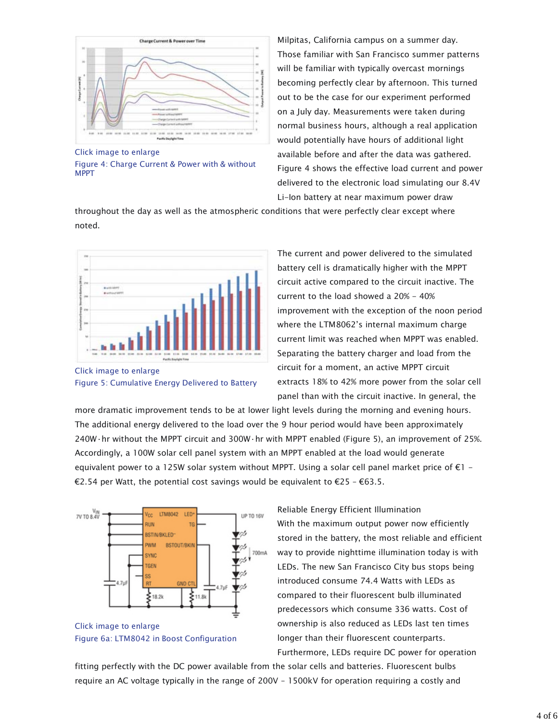

Click image to enlarge Figure 4: Charge Current & Power with & without MPPT

Milpitas, California campus on a summer day. Those familiar with San Francisco summer patterns will be familiar with typically overcast mornings becoming perfectly clear by afternoon. This turned out to be the case for our experiment performed on a July day. Measurements were taken during normal business hours, although a real application would potentially have hours of additional light available before and after the data was gathered. Figure 4 shows the effective load current and power delivered to the electronic load simulating our 8.4V Li-Ion battery at near maximum power draw

throughout the day as well as the atmospheric conditions that were perfectly clear except where noted.



Click image to enlarge Figure 5: Cumulative Energy Delivered to Battery

The current and power delivered to the simulated battery cell is dramatically higher with the MPPT circuit active compared to the circuit inactive. The current to the load showed a 20% - 40% improvement with the exception of the noon period where the LTM8062's internal maximum charge current limit was reached when MPPT was enabled. Separating the battery charger and load from the circuit for a moment, an active MPPT circuit extracts 18% to 42% more power from the solar cell panel than with the circuit inactive. In general, the

more dramatic improvement tends to be at lower light levels during the morning and evening hours. The additional energy delivered to the load over the 9 hour period would have been approximately 240W·hr without the MPPT circuit and 300W·hr with MPPT enabled (Figure 5), an improvement of 25%. Accordingly, a 100W solar cell panel system with an MPPT enabled at the load would generate equivalent power to a 125W solar system without MPPT. Using a solar cell panel market price of  $\epsilon$ 1 -€2.54 per Watt, the potential cost savings would be equivalent to  $\epsilon$ 25 –  $\epsilon$ 63.5.





Reliable Energy Efficient Illumination With the maximum output power now efficiently stored in the battery, the most reliable and efficient way to provide nighttime illumination today is with LEDs. The new San Francisco City bus stops being introduced consume 74.4 Watts with LEDs as compared to their fluorescent bulb illuminated predecessors which consume 336 watts. Cost of ownership is also reduced as LEDs last ten times longer than their fluorescent counterparts. Furthermore, LEDs require DC power for operation

fitting perfectly with the DC power available from the solar cells and batteries. Fluorescent bulbs require an AC voltage typically in the range of 200V – 1500kV for operation requiring a costly and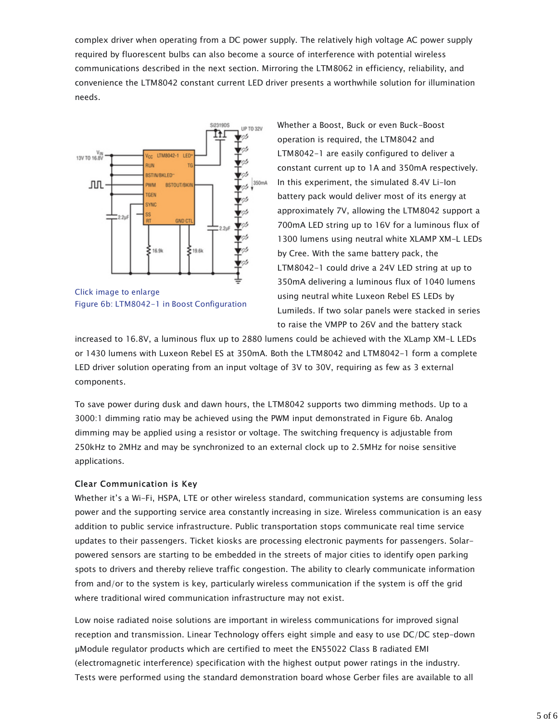complex driver when operating from a DC power supply. The relatively high voltage AC power supply required by fluorescent bulbs can also become a source of interference with potential wireless communications described in the next section. Mirroring the LTM8062 in efficiency, reliability, and convenience the LTM8042 constant current LED driver presents a worthwhile solution for illumination needs.



Figure 6b: LTM8042-1 in Boost Configuration

Whether a Boost, Buck or even Buck-Boost operation is required, the LTM8042 and LTM8042-1 are easily configured to deliver a constant current up to 1A and 350mA respectively. In this experiment, the simulated 8.4V Li-Ion battery pack would deliver most of its energy at approximately 7V, allowing the LTM8042 support a 700mA LED string up to 16V for a luminous flux of 1300 lumens using neutral white XLAMP XM-L LEDs by Cree. With the same battery pack, the LTM8042-1 could drive a 24V LED string at up to 350mA delivering a luminous flux of 1040 lumens using neutral white Luxeon Rebel ES LEDs by Lumileds. If two solar panels were stacked in series to raise the VMPP to 26V and the battery stack

increased to 16.8V, a luminous flux up to 2880 lumens could be achieved with the XLamp XM-L LEDs or 1430 lumens with Luxeon Rebel ES at 350mA. Both the LTM8042 and LTM8042-1 form a complete LED driver solution operating from an input voltage of 3V to 30V, requiring as few as 3 external components.

To save power during dusk and dawn hours, the LTM8042 supports two dimming methods. Up to a 3000:1 dimming ratio may be achieved using the PWM input demonstrated in Figure 6b. Analog dimming may be applied using a resistor or voltage. The switching frequency is adjustable from 250kHz to 2MHz and may be synchronized to an external clock up to 2.5MHz for noise sensitive applications.

## Clear Communication is Key

Whether it's a Wi-Fi, HSPA, LTE or other wireless standard, communication systems are consuming less power and the supporting service area constantly increasing in size. Wireless communication is an easy addition to public service infrastructure. Public transportation stops communicate real time service updates to their passengers. Ticket kiosks are processing electronic payments for passengers. Solarpowered sensors are starting to be embedded in the streets of major cities to identify open parking spots to drivers and thereby relieve traffic congestion. The ability to clearly communicate information from and/or to the system is key, particularly wireless communication if the system is off the grid where traditional wired communication infrastructure may not exist.

Low noise radiated noise solutions are important in wireless communications for improved signal reception and transmission. Linear Technology offers eight simple and easy to use DC/DC step-down µModule regulator products which are certified to meet the EN55022 Class B radiated EMI (electromagnetic interference) specification with the highest output power ratings in the industry. Tests were performed using the standard demonstration board whose Gerber files are available to all